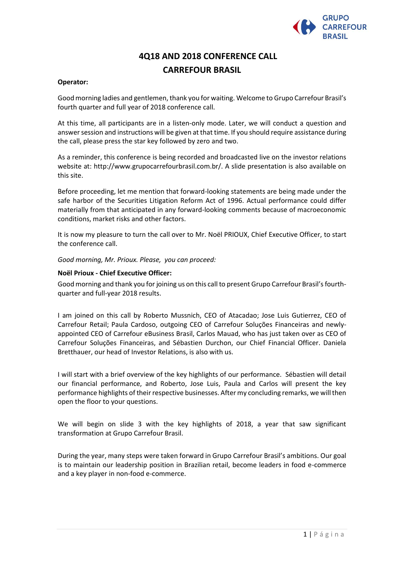

# **4Q18 AND 2018 CONFERENCE CALL CARREFOUR BRASIL**

# **Operator:**

Good morning ladies and gentlemen, thank you for waiting. Welcome to Grupo Carrefour Brasil's fourth quarter and full year of 2018 conference call.

At this time, all participants are in a listen-only mode. Later, we will conduct a question and answer session and instructions will be given at that time. If you should require assistance during the call, please press the star key followed by zero and two.

As a reminder, this conference is being recorded and broadcasted live on the investor relations website at: http://www.grupocarrefourbrasil.com.br/. A slide presentation is also available on this site.

Before proceeding, let me mention that forward-looking statements are being made under the safe harbor of the Securities Litigation Reform Act of 1996. Actual performance could differ materially from that anticipated in any forward-looking comments because of macroeconomic conditions, market risks and other factors.

It is now my pleasure to turn the call over to Mr. Noël PRIOUX, Chief Executive Officer, to start the conference call.

*Good morning, Mr. Prioux. Please, you can proceed:*

#### **Noël Prioux - Chief Executive Officer:**

Good morning and thank you for joining us on this call to present Grupo Carrefour Brasil's fourthquarter and full-year 2018 results.

I am joined on this call by Roberto Mussnich, CEO of Atacadao; Jose Luis Gutierrez, CEO of Carrefour Retail; Paula Cardoso, outgoing CEO of Carrefour Soluções Financeiras and newlyappointed CEO of Carrefour eBusiness Brasil, Carlos Mauad, who has just taken over as CEO of Carrefour Soluções Financeiras, and Sébastien Durchon, our Chief Financial Officer. Daniela Bretthauer, our head of Investor Relations, is also with us.

I will start with a brief overview of the key highlights of our performance. Sébastien will detail our financial performance, and Roberto, Jose Luis, Paula and Carlos will present the key performance highlights of their respective businesses. After my concluding remarks, we will then open the floor to your questions.

We will begin on slide 3 with the key highlights of 2018, a year that saw significant transformation at Grupo Carrefour Brasil.

During the year, many steps were taken forward in Grupo Carrefour Brasil's ambitions. Our goal is to maintain our leadership position in Brazilian retail, become leaders in food e-commerce and a key player in non-food e-commerce.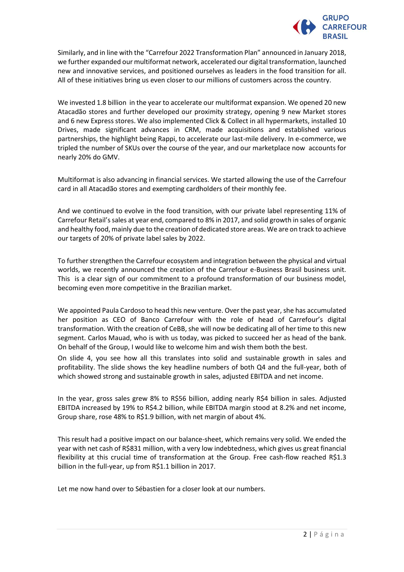

Similarly, and in line with the "Carrefour 2022 Transformation Plan" announced in January 2018, we further expanded our multiformat network, accelerated our digital transformation, launched new and innovative services, and positioned ourselves as leaders in the food transition for all. All of these initiatives bring us even closer to our millions of customers across the country.

We invested 1.8 billion in the year to accelerate our multiformat expansion. We opened 20 new Atacadão stores and further developed our proximity strategy, opening 9 new Market stores and 6 new Express stores. We also implemented Click & Collect in all hypermarkets, installed 10 Drives, made significant advances in CRM, made acquisitions and established various partnerships, the highlight being Rappi, to accelerate our last-mile delivery. In e-commerce, we tripled the number of SKUs over the course of the year, and our marketplace now accounts for nearly 20% do GMV.

Multiformat is also advancing in financial services. We started allowing the use of the Carrefour card in all Atacadão stores and exempting cardholders of their monthly fee.

And we continued to evolve in the food transition, with our private label representing 11% of Carrefour Retail's sales at year end, compared to 8% in 2017, and solid growth in sales of organic and healthy food, mainly due to the creation of dedicated store areas. We are on track to achieve our targets of 20% of private label sales by 2022.

To further strengthen the Carrefour ecosystem and integration between the physical and virtual worlds, we recently announced the creation of the Carrefour e-Business Brasil business unit. This is a clear sign of our commitment to a profound transformation of our business model, becoming even more competitive in the Brazilian market.

We appointed Paula Cardoso to head this new venture. Over the past year, she has accumulated her position as CEO of Banco Carrefour with the role of head of Carrefour's digital transformation. With the creation of CeBB, she will now be dedicating all of her time to this new segment. Carlos Mauad, who is with us today, was picked to succeed her as head of the bank. On behalf of the Group, I would like to welcome him and wish them both the best.

On slide 4, you see how all this translates into solid and sustainable growth in sales and profitability. The slide shows the key headline numbers of both Q4 and the full-year, both of which showed strong and sustainable growth in sales, adjusted EBITDA and net income.

In the year, gross sales grew 8% to R\$56 billion, adding nearly R\$4 billion in sales. Adjusted EBITDA increased by 19% to R\$4.2 billion, while EBITDA margin stood at 8.2% and net income, Group share, rose 48% to R\$1.9 billion, with net margin of about 4%.

This result had a positive impact on our balance-sheet, which remains very solid. We ended the year with net cash of R\$831 million, with a very low indebtedness, which gives us great financial flexibility at this crucial time of transformation at the Group. Free cash-flow reached R\$1.3 billion in the full-year, up from R\$1.1 billion in 2017.

Let me now hand over to Sébastien for a closer look at our numbers.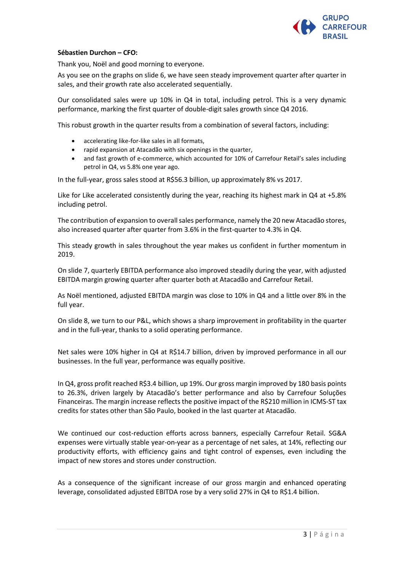

# **Sébastien Durchon – CFO:**

Thank you, Noël and good morning to everyone.

As you see on the graphs on slide 6, we have seen steady improvement quarter after quarter in sales, and their growth rate also accelerated sequentially.

Our consolidated sales were up 10% in Q4 in total, including petrol. This is a very dynamic performance, marking the first quarter of double-digit sales growth since Q4 2016.

This robust growth in the quarter results from a combination of several factors, including:

- accelerating like-for-like sales in all formats,
- rapid expansion at Atacadão with six openings in the quarter,
- and fast growth of e-commerce, which accounted for 10% of Carrefour Retail's sales including petrol in Q4, vs 5.8% one year ago.

In the full-year, gross sales stood at R\$56.3 billion, up approximately 8% vs 2017.

Like for Like accelerated consistently during the year, reaching its highest mark in Q4 at +5.8% including petrol.

The contribution of expansion to overall sales performance, namely the 20 new Atacadão stores, also increased quarter after quarter from 3.6% in the first-quarter to 4.3% in Q4.

This steady growth in sales throughout the year makes us confident in further momentum in 2019.

On slide 7, quarterly EBITDA performance also improved steadily during the year, with adjusted EBITDA margin growing quarter after quarter both at Atacadão and Carrefour Retail.

As Noël mentioned, adjusted EBITDA margin was close to 10% in Q4 and a little over 8% in the full year.

On slide 8, we turn to our P&L, which shows a sharp improvement in profitability in the quarter and in the full-year, thanks to a solid operating performance.

Net sales were 10% higher in Q4 at R\$14.7 billion, driven by improved performance in all our businesses. In the full year, performance was equally positive.

In Q4, gross profit reached R\$3.4 billion, up 19%. Our gross margin improved by 180 basis points to 26.3%, driven largely by Atacadão's better performance and also by Carrefour Soluções Financeiras. The margin increase reflects the positive impact of the R\$210 million in ICMS-ST tax credits for states other than São Paulo, booked in the last quarter at Atacadão.

We continued our cost-reduction efforts across banners, especially Carrefour Retail. SG&A expenses were virtually stable year-on-year as a percentage of net sales, at 14%, reflecting our productivity efforts, with efficiency gains and tight control of expenses, even including the impact of new stores and stores under construction.

As a consequence of the significant increase of our gross margin and enhanced operating leverage, consolidated adjusted EBITDA rose by a very solid 27% in Q4 to R\$1.4 billion.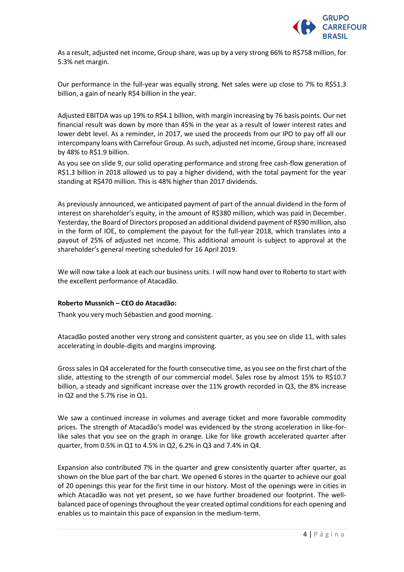

As a result, adjusted net income, Group share, was up by a very strong 66% to R\$758 million, for 5.3% net margin.

Our performance in the full-year was equally strong. Net sales were up close to 7% to R\$51.3 billion, a gain of nearly R\$4 billion in the year.

Adjusted EBITDA was up 19% to R\$4.1 billion, with margin increasing by 76 basis points. Our net financial result was down by more than 45% in the year as a result of lower interest rates and lower debt level. As a reminder, in 2017, we used the proceeds from our IPO to pay off all our intercompany loans with Carrefour Group. As such, adjusted net income, Group share, increased by 48% to R\$1.9 billion.

As you see on slide 9, our solid operating performance and strong free cash-flow generation of R\$1.3 billion in 2018 allowed us to pay a higher dividend, with the total payment for the year standing at R\$470 million. This is 48% higher than 2017 dividends.

As previously announced, we anticipated payment of part of the annual dividend in the form of interest on shareholder's equity, in the amount of R\$380 million, which was paid in December. Yesterday, the Board of Directors proposed an additional dividend payment of R\$90 million, also in the form of IOE, to complement the payout for the full-year 2018, which translates into a payout of 25% of adjusted net income. This additional amount is subject to approval at the shareholder's general meeting scheduled for 16 April 2019.

We will now take a look at each our business units. I will now hand over to Roberto to start with the excellent performance of Atacadão.

# **Roberto Mussnich – CEO do Atacadão:**

Thank you very much Sébastien and good morning.

Atacadão posted another very strong and consistent quarter, as you see on slide 11, with sales accelerating in double-digits and margins improving.

Gross sales in Q4 accelerated for the fourth consecutive time, as you see on the first chart of the slide, attesting to the strength of our commercial model. Sales rose by almost 15% to R\$10.7 billion, a steady and significant increase over the 11% growth recorded in Q3, the 8% increase in Q2 and the 5.7% rise in Q1.

We saw a continued increase in volumes and average ticket and more favorable commodity prices. The strength of Atacadão's model was evidenced by the strong acceleration in like-forlike sales that you see on the graph in orange. Like for like growth accelerated quarter after quarter, from 0.5% in Q1 to 4.5% in Q2, 6.2% in Q3 and 7.4% in Q4.

Expansion also contributed 7% in the quarter and grew consistently quarter after quarter, as shown on the blue part of the bar chart. We opened 6 stores in the quarter to achieve our goal of 20 openings this year for the first time in our history. Most of the openings were in cities in which Atacadão was not yet present, so we have further broadened our footprint. The wellbalanced pace of openings throughout the year created optimal conditions for each opening and enables us to maintain this pace of expansion in the medium-term.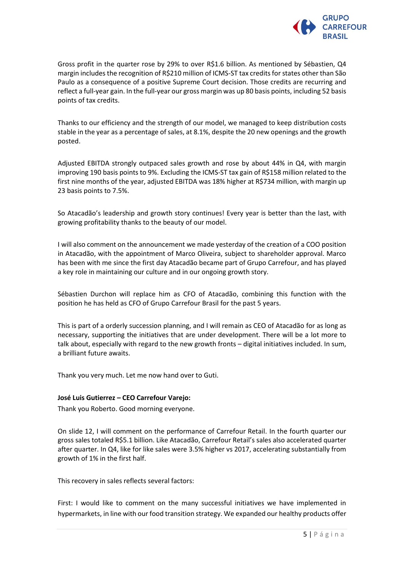

Gross profit in the quarter rose by 29% to over R\$1.6 billion. As mentioned by Sébastien, Q4 margin includes the recognition of R\$210 million of ICMS-ST tax credits for states other than São Paulo as a consequence of a positive Supreme Court decision. Those credits are recurring and reflect a full-year gain. In the full-year our gross margin was up 80 basis points, including 52 basis points of tax credits.

Thanks to our efficiency and the strength of our model, we managed to keep distribution costs stable in the year as a percentage of sales, at 8.1%, despite the 20 new openings and the growth posted.

Adjusted EBITDA strongly outpaced sales growth and rose by about 44% in Q4, with margin improving 190 basis points to 9%. Excluding the ICMS-ST tax gain of R\$158 million related to the first nine months of the year, adjusted EBITDA was 18% higher at R\$734 million, with margin up 23 basis points to 7.5%.

So Atacadão's leadership and growth story continues! Every year is better than the last, with growing profitability thanks to the beauty of our model.

I will also comment on the announcement we made yesterday of the creation of a COO position in Atacadão, with the appointment of Marco Oliveira, subject to shareholder approval. Marco has been with me since the first day Atacadão became part of Grupo Carrefour, and has played a key role in maintaining our culture and in our ongoing growth story.

Sébastien Durchon will replace him as CFO of Atacadão, combining this function with the position he has held as CFO of Grupo Carrefour Brasil for the past 5 years.

This is part of a orderly succession planning, and I will remain as CEO of Atacadão for as long as necessary, supporting the initiatives that are under development. There will be a lot more to talk about, especially with regard to the new growth fronts – digital initiatives included. In sum, a brilliant future awaits.

Thank you very much. Let me now hand over to Guti.

# **José Luis Gutierrez – CEO Carrefour Varejo:**

Thank you Roberto. Good morning everyone.

On slide 12, I will comment on the performance of Carrefour Retail. In the fourth quarter our gross sales totaled R\$5.1 billion. Like Atacadão, Carrefour Retail's sales also accelerated quarter after quarter. In Q4, like for like sales were 3.5% higher vs 2017, accelerating substantially from growth of 1% in the first half.

This recovery in sales reflects several factors:

First: I would like to comment on the many successful initiatives we have implemented in hypermarkets, in line with our food transition strategy. We expanded our healthy products offer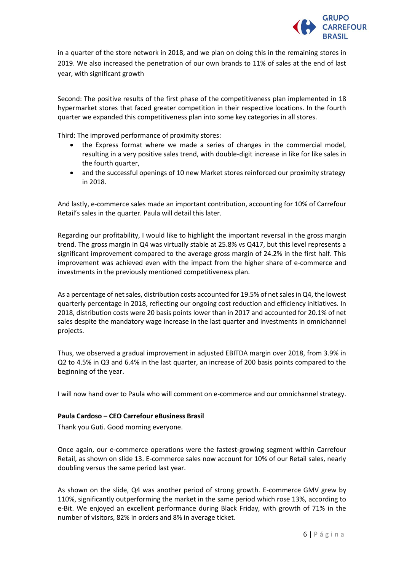

in a quarter of the store network in 2018, and we plan on doing this in the remaining stores in 2019. We also increased the penetration of our own brands to 11% of sales at the end of last year, with significant growth

Second: The positive results of the first phase of the competitiveness plan implemented in 18 hypermarket stores that faced greater competition in their respective locations. In the fourth quarter we expanded this competitiveness plan into some key categories in all stores.

Third: The improved performance of proximity stores:

- the Express format where we made a series of changes in the commercial model, resulting in a very positive sales trend, with double-digit increase in like for like sales in the fourth quarter,
- and the successful openings of 10 new Market stores reinforced our proximity strategy in 2018.

And lastly, e-commerce sales made an important contribution, accounting for 10% of Carrefour Retail's sales in the quarter. Paula will detail this later.

Regarding our profitability, I would like to highlight the important reversal in the gross margin trend. The gross margin in Q4 was virtually stable at 25.8% vs Q417, but this level represents a significant improvement compared to the average gross margin of 24.2% in the first half. This improvement was achieved even with the impact from the higher share of e-commerce and investments in the previously mentioned competitiveness plan.

As a percentage of net sales, distribution costs accounted for 19.5% of net sales in Q4, the lowest quarterly percentage in 2018, reflecting our ongoing cost reduction and efficiency initiatives. In 2018, distribution costs were 20 basis points lower than in 2017 and accounted for 20.1% of net sales despite the mandatory wage increase in the last quarter and investments in omnichannel projects.

Thus, we observed a gradual improvement in adjusted EBITDA margin over 2018, from 3.9% in Q2 to 4.5% in Q3 and 6.4% in the last quarter, an increase of 200 basis points compared to the beginning of the year.

I will now hand over to Paula who will comment on e-commerce and our omnichannel strategy.

# **Paula Cardoso – CEO Carrefour eBusiness Brasil**

Thank you Guti. Good morning everyone.

Once again, our e-commerce operations were the fastest-growing segment within Carrefour Retail, as shown on slide 13. E-commerce sales now account for 10% of our Retail sales, nearly doubling versus the same period last year.

As shown on the slide, Q4 was another period of strong growth. E-commerce GMV grew by 110%, significantly outperforming the market in the same period which rose 13%, according to e-Bit. We enjoyed an excellent performance during Black Friday, with growth of 71% in the number of visitors, 82% in orders and 8% in average ticket.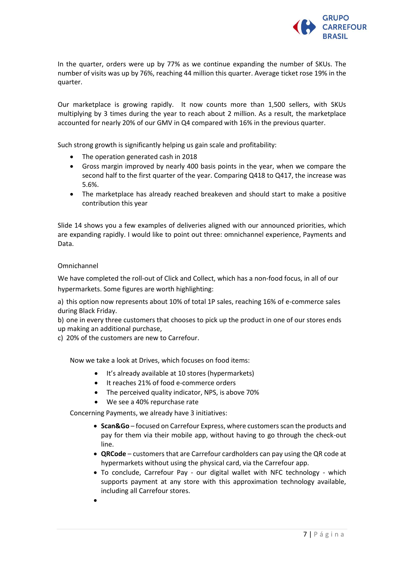

In the quarter, orders were up by 77% as we continue expanding the number of SKUs. The number of visits was up by 76%, reaching 44 million this quarter. Average ticket rose 19% in the quarter.

Our marketplace is growing rapidly. It now counts more than 1,500 sellers, with SKUs multiplying by 3 times during the year to reach about 2 million. As a result, the marketplace accounted for nearly 20% of our GMV in Q4 compared with 16% in the previous quarter.

Such strong growth is significantly helping us gain scale and profitability:

- The operation generated cash in 2018
- Gross margin improved by nearly 400 basis points in the year, when we compare the second half to the first quarter of the year. Comparing Q418 to Q417, the increase was 5.6%.
- The marketplace has already reached breakeven and should start to make a positive contribution this year

Slide 14 shows you a few examples of deliveries aligned with our announced priorities, which are expanding rapidly. I would like to point out three: omnichannel experience, Payments and Data.

# Omnichannel

We have completed the roll-out of Click and Collect, which has a non-food focus, in all of our hypermarkets. Some figures are worth highlighting:

a) this option now represents about 10% of total 1P sales, reaching 16% of e-commerce sales during Black Friday.

b) one in every three customers that chooses to pick up the product in one of our stores ends up making an additional purchase,

c) 20% of the customers are new to Carrefour.

Now we take a look at Drives, which focuses on food items:

- It's already available at 10 stores (hypermarkets)
- It reaches 21% of food e-commerce orders
- The perceived quality indicator, NPS, is above 70%
- We see a 40% repurchase rate

Concerning Payments, we already have 3 initiatives:

- **Scan&Go** focused on Carrefour Express, where customers scan the products and pay for them via their mobile app, without having to go through the check-out line.
- **QRCode** customers that are Carrefour cardholders can pay using the QR code at hypermarkets without using the physical card, via the Carrefour app.
- To conclude, Carrefour Pay our digital wallet with NFC technology which supports payment at any store with this approximation technology available, including all Carrefour stores.
- •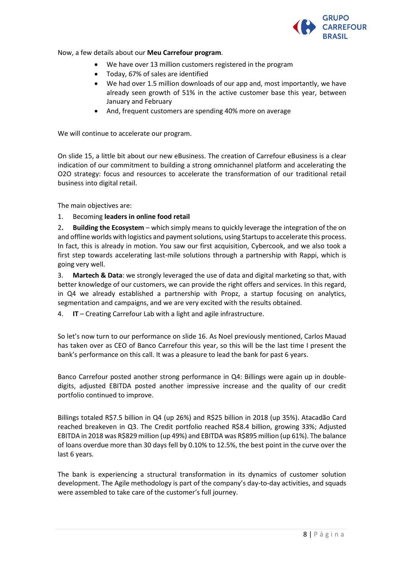

Now, a few details about our **Meu Carrefour program**.

- We have over 13 million customers registered in the program
- Today, 67% of sales are identified
- We had over 1.5 million downloads of our app and, most importantly, we have already seen growth of 51% in the active customer base this year, between January and February
- And, frequent customers are spending 40% more on average

We will continue to accelerate our program.

On slide 15, a little bit about our new eBusiness. The creation of Carrefour eBusiness is a clear indication of our commitment to building a strong omnichannel platform and accelerating the O2O strategy: focus and resources to accelerate the transformation of our traditional retail business into digital retail.

The main objectives are:

# 1. Becoming **leaders in online food retail**

2**. Building the Ecosystem** – which simply means to quickly leverage the integration of the on and offline worlds with logistics and payment solutions, using Startups to accelerate this process. In fact, this is already in motion. You saw our first acquisition, Cybercook, and we also took a first step towards accelerating last-mile solutions through a partnership with Rappi, which is going very well.

3. **Martech & Data**: we strongly leveraged the use of data and digital marketing so that, with better knowledge of our customers, we can provide the right offers and services. In this regard, in Q4 we already established a partnership with Propz, a startup focusing on analytics, segmentation and campaigns, and we are very excited with the results obtained.

4. **IT** – Creating Carrefour Lab with a light and agile infrastructure.

So let's now turn to our performance on slide 16. As Noel previously mentioned, Carlos Mauad has taken over as CEO of Banco Carrefour this year, so this will be the last time I present the bank's performance on this call. It was a pleasure to lead the bank for past 6 years.

Banco Carrefour posted another strong performance in Q4: Billings were again up in doubledigits, adjusted EBITDA posted another impressive increase and the quality of our credit portfolio continued to improve.

Billings totaled R\$7.5 billion in Q4 (up 26%) and R\$25 billion in 2018 (up 35%). Atacadão Card reached breakeven in Q3. The Credit portfolio reached R\$8.4 billion, growing 33%; Adjusted EBITDA in 2018 was R\$829 million (up 49%) and EBITDA was R\$895 million (up 61%). The balance of loans overdue more than 30 days fell by 0.10% to 12.5%, the best point in the curve over the last 6 years.

The bank is experiencing a structural transformation in its dynamics of customer solution development. The Agile methodology is part of the company's day-to-day activities, and squads were assembled to take care of the customer's full journey.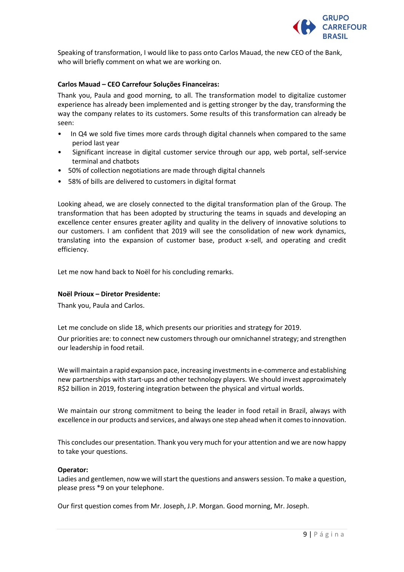

Speaking of transformation, I would like to pass onto Carlos Mauad, the new CEO of the Bank, who will briefly comment on what we are working on.

# **Carlos Mauad – CEO Carrefour Soluções Financeiras:**

Thank you, Paula and good morning, to all. The transformation model to digitalize customer experience has already been implemented and is getting stronger by the day, transforming the way the company relates to its customers. Some results of this transformation can already be seen:

- In Q4 we sold five times more cards through digital channels when compared to the same period last year
- Significant increase in digital customer service through our app, web portal, self-service terminal and chatbots
- 50% of collection negotiations are made through digital channels
- 58% of bills are delivered to customers in digital format

Looking ahead, we are closely connected to the digital transformation plan of the Group. The transformation that has been adopted by structuring the teams in squads and developing an excellence center ensures greater agility and quality in the delivery of innovative solutions to our customers. I am confident that 2019 will see the consolidation of new work dynamics, translating into the expansion of customer base, product x-sell, and operating and credit efficiency.

Let me now hand back to Noël for his concluding remarks.

# **Noël Prioux – Diretor Presidente:**

Thank you, Paula and Carlos.

Let me conclude on slide 18, which presents our priorities and strategy for 2019.

Our priorities are: to connect new customers through our omnichannel strategy; and strengthen our leadership in food retail.

We will maintain a rapid expansion pace, increasing investments in e-commerce and establishing new partnerships with start-ups and other technology players. We should invest approximately R\$2 billion in 2019, fostering integration between the physical and virtual worlds.

We maintain our strong commitment to being the leader in food retail in Brazil, always with excellence in our products and services, and always one step ahead when it comes to innovation.

This concludes our presentation. Thank you very much for your attention and we are now happy to take your questions.

# **Operator:**

Ladies and gentlemen, now we will start the questions and answers session. To make a question, please press \*9 on your telephone.

Our first question comes from Mr. Joseph, J.P. Morgan. Good morning, Mr. Joseph.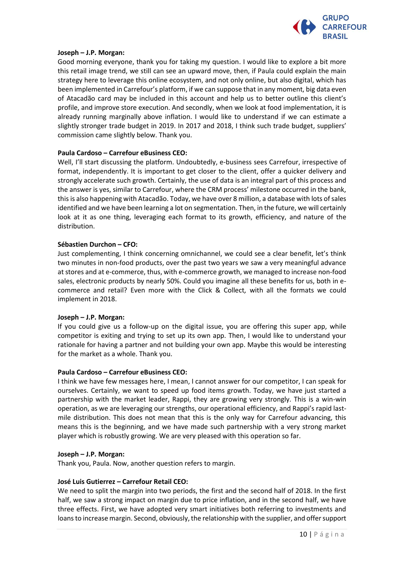

# **Joseph – J.P. Morgan:**

Good morning everyone, thank you for taking my question. I would like to explore a bit more this retail image trend, we still can see an upward move, then, if Paula could explain the main strategy here to leverage this online ecosystem, and not only online, but also digital, which has been implemented in Carrefour's platform, if we can suppose that in any moment, big data even of Atacadão card may be included in this account and help us to better outline this client's profile, and improve store execution. And secondly, when we look at food implementation, it is already running marginally above inflation. I would like to understand if we can estimate a slightly stronger trade budget in 2019. In 2017 and 2018, I think such trade budget, suppliers' commission came slightly below. Thank you.

# **Paula Cardoso – Carrefour eBusiness CEO:**

Well, I'll start discussing the platform. Undoubtedly, e-business sees Carrefour, irrespective of format, independently. It is important to get closer to the client, offer a quicker delivery and strongly accelerate such growth. Certainly, the use of data is an integral part of this process and the answer is yes, similar to Carrefour, where the CRM process' milestone occurred in the bank, this is also happening with Atacadão. Today, we have over 8 million, a database with lots of sales identified and we have been learning a lot on segmentation. Then, in the future, we will certainly look at it as one thing, leveraging each format to its growth, efficiency, and nature of the distribution.

# **Sébastien Durchon – CFO:**

Just complementing, I think concerning omnichannel, we could see a clear benefit, let's think two minutes in non-food products, over the past two years we saw a very meaningful advance at stores and at e-commerce, thus, with e-commerce growth, we managed to increase non-food sales, electronic products by nearly 50%. Could you imagine all these benefits for us, both in ecommerce and retail? Even more with the Click & Collect*,* with all the formats we could implement in 2018.

# **Joseph – J.P. Morgan:**

If you could give us a follow-up on the digital issue, you are offering this super app, while competitor is exiting and trying to set up its own app. Then, I would like to understand your rationale for having a partner and not building your own app. Maybe this would be interesting for the market as a whole. Thank you.

# **Paula Cardoso – Carrefour eBusiness CEO:**

I think we have few messages here, I mean, I cannot answer for our competitor, I can speak for ourselves. Certainly, we want to speed up food items growth. Today, we have just started a partnership with the market leader, Rappi, they are growing very strongly. This is a win-win operation, as we are leveraging our strengths, our operational efficiency, and Rappi's rapid lastmile distribution. This does not mean that this is the only way for Carrefour advancing, this means this is the beginning, and we have made such partnership with a very strong market player which is robustly growing. We are very pleased with this operation so far.

# **Joseph – J.P. Morgan:**

Thank you, Paula. Now, another question refers to margin.

# **José Luis Gutierrez – Carrefour Retail CEO:**

We need to split the margin into two periods, the first and the second half of 2018. In the first half, we saw a strong impact on margin due to price inflation, and in the second half, we have three effects. First, we have adopted very smart initiatives both referring to investments and loans to increase margin. Second, obviously, the relationship with the supplier, and offer support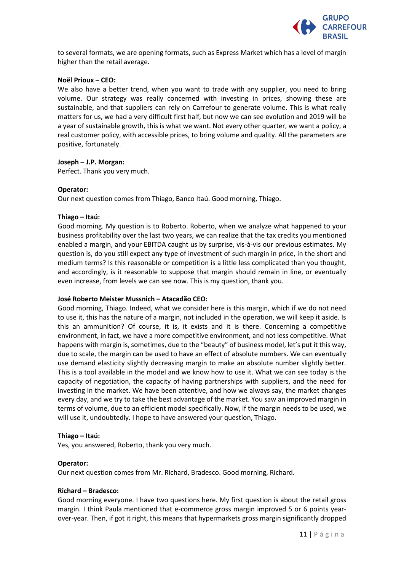

to several formats, we are opening formats, such as Express Market which has a level of margin higher than the retail average.

# **Noël Prioux – CEO:**

We also have a better trend, when you want to trade with any supplier, you need to bring volume. Our strategy was really concerned with investing in prices, showing these are sustainable, and that suppliers can rely on Carrefour to generate volume. This is what really matters for us, we had a very difficult first half, but now we can see evolution and 2019 will be a year of sustainable growth, this is what we want. Not every other quarter, we want a policy, a real customer policy, with accessible prices, to bring volume and quality. All the parameters are positive, fortunately.

# **Joseph – J.P. Morgan:**

Perfect. Thank you very much.

# **Operator:**

Our next question comes from Thiago, Banco Itaú. Good morning, Thiago.

# **Thiago – Itaú:**

Good morning. My question is to Roberto. Roberto, when we analyze what happened to your business profitability over the last two years, we can realize that the tax credits you mentioned enabled a margin, and your EBITDA caught us by surprise, vis-à-vis our previous estimates. My question is, do you still expect any type of investment of such margin in price, in the short and medium terms? Is this reasonable or competition is a little less complicated than you thought, and accordingly, is it reasonable to suppose that margin should remain in line, or eventually even increase, from levels we can see now. This is my question, thank you.

# **José Roberto Meister Mussnich – Atacadão CEO:**

Good morning, Thiago. Indeed, what we consider here is this margin, which if we do not need to use it, this has the nature of a margin, not included in the operation, we will keep it aside. Is this an ammunition? Of course, it is, it exists and it is there. Concerning a competitive environment, in fact, we have a more competitive environment, and not less competitive. What happens with margin is, sometimes, due to the "beauty" of business model, let's put it this way, due to scale, the margin can be used to have an effect of absolute numbers. We can eventually use demand elasticity slightly decreasing margin to make an absolute number slightly better. This is a tool available in the model and we know how to use it. What we can see today is the capacity of negotiation, the capacity of having partnerships with suppliers, and the need for investing in the market. We have been attentive, and how we always say, the market changes every day, and we try to take the best advantage of the market. You saw an improved margin in terms of volume, due to an efficient model specifically. Now, if the margin needs to be used, we will use it, undoubtedly. I hope to have answered your question, Thiago.

# **Thiago – Itaú:**

Yes, you answered, Roberto, thank you very much.

# **Operator:**

Our next question comes from Mr. Richard, Bradesco. Good morning, Richard.

# **Richard – Bradesco:**

Good morning everyone. I have two questions here. My first question is about the retail gross margin. I think Paula mentioned that e-commerce gross margin improved 5 or 6 points yearover-year. Then, if got it right, this means that hypermarkets gross margin significantly dropped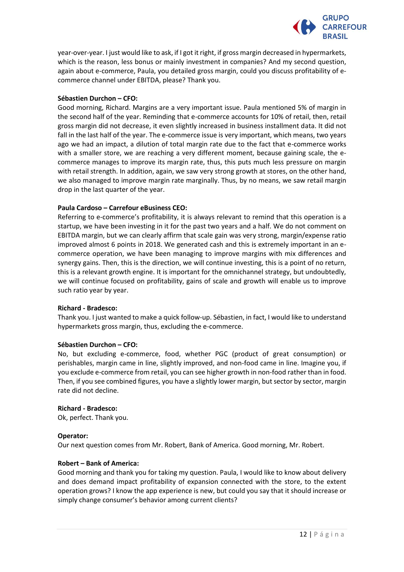

year-over-year. I just would like to ask, if I got it right, if gross margin decreased in hypermarkets, which is the reason, less bonus or mainly investment in companies? And my second question, again about e-commerce, Paula, you detailed gross margin, could you discuss profitability of ecommerce channel under EBITDA, please? Thank you.

# **Sébastien Durchon – CFO:**

Good morning, Richard. Margins are a very important issue. Paula mentioned 5% of margin in the second half of the year. Reminding that e-commerce accounts for 10% of retail, then, retail gross margin did not decrease, it even slightly increased in business installment data. It did not fall in the last half of the year. The e-commerce issue is very important, which means, two years ago we had an impact, a dilution of total margin rate due to the fact that e-commerce works with a smaller store, we are reaching a very different moment, because gaining scale, the ecommerce manages to improve its margin rate, thus, this puts much less pressure on margin with retail strength. In addition, again, we saw very strong growth at stores, on the other hand, we also managed to improve margin rate marginally. Thus, by no means, we saw retail margin drop in the last quarter of the year.

# **Paula Cardoso – Carrefour eBusiness CEO:**

Referring to e-commerce's profitability, it is always relevant to remind that this operation is a startup, we have been investing in it for the past two years and a half. We do not comment on EBITDA margin, but we can clearly affirm that scale gain was very strong, margin/expense ratio improved almost 6 points in 2018. We generated cash and this is extremely important in an ecommerce operation, we have been managing to improve margins with mix differences and synergy gains. Then, this is the direction, we will continue investing, this is a point of no return, this is a relevant growth engine. It is important for the omnichannel strategy, but undoubtedly, we will continue focused on profitability, gains of scale and growth will enable us to improve such ratio year by year.

# **Richard - Bradesco:**

Thank you. I just wanted to make a quick follow-up. Sébastien, in fact, I would like to understand hypermarkets gross margin, thus, excluding the e-commerce.

# **Sébastien Durchon – CFO:**

No, but excluding e-commerce, food, whether PGC (product of great consumption) or perishables, margin came in line, slightly improved, and non-food came in line. Imagine you, if you exclude e-commerce from retail, you can see higher growth in non-food rather than in food. Then, if you see combined figures, you have a slightly lower margin, but sector by sector, margin rate did not decline.

# **Richard - Bradesco:**

Ok, perfect. Thank you.

# **Operator:**

Our next question comes from Mr. Robert, Bank of America. Good morning, Mr. Robert.

# **Robert – Bank of America:**

Good morning and thank you for taking my question. Paula, I would like to know about delivery and does demand impact profitability of expansion connected with the store, to the extent operation grows? I know the app experience is new, but could you say that it should increase or simply change consumer's behavior among current clients?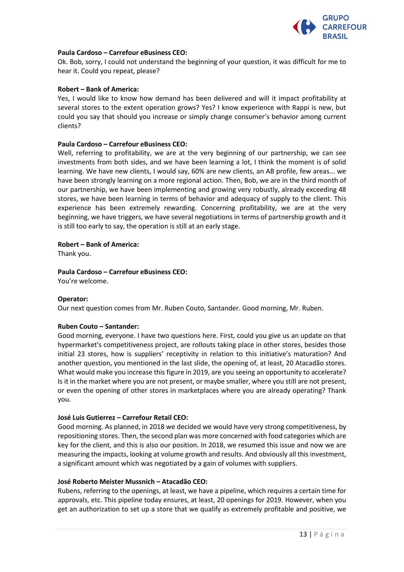

# **Paula Cardoso – Carrefour eBusiness CEO:**

Ok. Bob, sorry, I could not understand the beginning of your question, it was difficult for me to hear it. Could you repeat, please?

#### **Robert – Bank of America:**

Yes, I would like to know how demand has been delivered and will it impact profitability at several stores to the extent operation grows? Yes? I know experience with Rappi is new, but could you say that should you increase or simply change consumer's behavior among current clients?

#### **Paula Cardoso – Carrefour eBusiness CEO:**

Well, referring to profitability, we are at the very beginning of our partnership, we can see investments from both sides, and we have been learning a lot, I think the moment is of solid learning. We have new clients, I would say, 60% are new clients, an AB profile, few areas... we have been strongly learning on a more regional action. Then, Bob, we are in the third month of our partnership, we have been implementing and growing very robustly, already exceeding 48 stores, we have been learning in terms of behavior and adequacy of supply to the client. This experience has been extremely rewarding. Concerning profitability, we are at the very beginning, we have triggers, we have several negotiations in terms of partnership growth and it is still too early to say, the operation is still at an early stage.

# **Robert – Bank of America:**

Thank you.

# **Paula Cardoso – Carrefour eBusiness CEO:**

You're welcome.

# **Operator:**

Our next question comes from Mr. Ruben Couto, Santander. Good morning, Mr. Ruben.

# **Ruben Couto – Santander:**

Good morning, everyone. I have two questions here. First, could you give us an update on that hypermarket's competitiveness project, are rollouts taking place in other stores, besides those initial 23 stores, how is suppliers' receptivity in relation to this initiative's maturation? And another question, you mentioned in the last slide, the opening of, at least, 20 Atacadão stores. What would make you increase this figure in 2019, are you seeing an opportunity to accelerate? Is it in the market where you are not present, or maybe smaller, where you still are not present, or even the opening of other stores in marketplaces where you are already operating? Thank you.

# **José Luis Gutierrez – Carrefour Retail CEO:**

Good morning. As planned, in 2018 we decided we would have very strong competitiveness, by repositioning stores. Then, the second plan was more concerned with food categories which are key for the client, and this is also our position. In 2018, we resumed this issue and now we are measuring the impacts, looking at volume growth and results. And obviously all this investment, a significant amount which was negotiated by a gain of volumes with suppliers.

# **José Roberto Meister Mussnich – Atacadão CEO:**

Rubens, referring to the openings, at least, we have a pipeline, which requires a certain time for approvals, etc. This pipeline today ensures, at least, 20 openings for 2019. However, when you get an authorization to set up a store that we qualify as extremely profitable and positive, we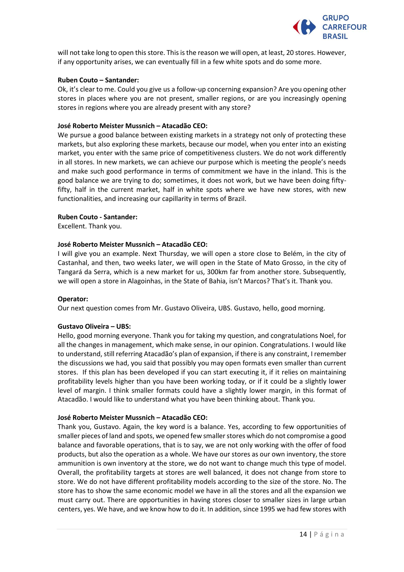

will not take long to open this store. This is the reason we will open, at least, 20 stores. However, if any opportunity arises, we can eventually fill in a few white spots and do some more.

# **Ruben Couto – Santander:**

Ok, it's clear to me. Could you give us a follow-up concerning expansion? Are you opening other stores in places where you are not present, smaller regions, or are you increasingly opening stores in regions where you are already present with any store?

# **José Roberto Meister Mussnich – Atacadão CEO:**

We pursue a good balance between existing markets in a strategy not only of protecting these markets, but also exploring these markets, because our model, when you enter into an existing market, you enter with the same price of competitiveness clusters. We do not work differently in all stores. In new markets, we can achieve our purpose which is meeting the people's needs and make such good performance in terms of commitment we have in the inland. This is the good balance we are trying to do; sometimes, it does not work, but we have been doing fiftyfifty, half in the current market, half in white spots where we have new stores, with new functionalities, and increasing our capillarity in terms of Brazil.

# **Ruben Couto - Santander:**

Excellent. Thank you.

# **José Roberto Meister Mussnich – Atacadão CEO:**

I will give you an example. Next Thursday, we will open a store close to Belém, in the city of Castanhal, and then, two weeks later, we will open in the State of Mato Grosso, in the city of Tangará da Serra, which is a new market for us, 300km far from another store. Subsequently, we will open a store in Alagoinhas, in the State of Bahia, isn't Marcos? That's it. Thank you.

# **Operator:**

Our next question comes from Mr. Gustavo Oliveira, UBS. Gustavo, hello, good morning.

# **Gustavo Oliveira – UBS:**

Hello, good morning everyone. Thank you for taking my question, and congratulations Noel, for all the changes in management, which make sense, in our opinion. Congratulations. I would like to understand, still referring Atacadão's plan of expansion, if there is any constraint, I remember the discussions we had, you said that possibly you may open formats even smaller than current stores. If this plan has been developed if you can start executing it, if it relies on maintaining profitability levels higher than you have been working today, or if it could be a slightly lower level of margin. I think smaller formats could have a slightly lower margin, in this format of Atacadão. I would like to understand what you have been thinking about. Thank you.

# **José Roberto Meister Mussnich – Atacadão CEO:**

Thank you, Gustavo. Again, the key word is a balance. Yes, according to few opportunities of smaller pieces of land and spots, we opened few smaller stores which do not compromise a good balance and favorable operations, that is to say, we are not only working with the offer of food products, but also the operation as a whole. We have our stores as our own inventory, the store ammunition is own inventory at the store, we do not want to change much this type of model. Overall, the profitability targets at stores are well balanced, it does not change from store to store. We do not have different profitability models according to the size of the store. No. The store has to show the same economic model we have in all the stores and all the expansion we must carry out. There are opportunities in having stores closer to smaller sizes in large urban centers, yes. We have, and we know how to do it. In addition, since 1995 we had few stores with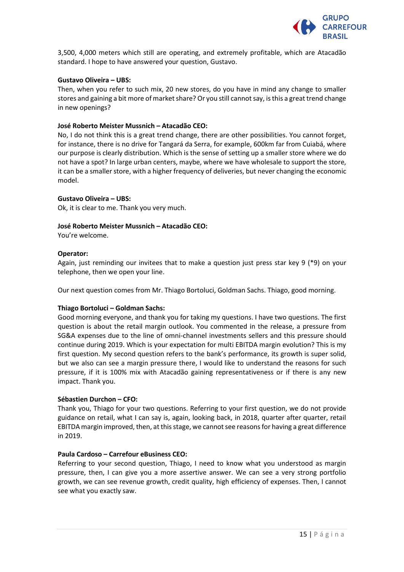

3,500, 4,000 meters which still are operating, and extremely profitable, which are Atacadão standard. I hope to have answered your question, Gustavo.

# **Gustavo Oliveira – UBS:**

Then, when you refer to such mix, 20 new stores, do you have in mind any change to smaller stores and gaining a bit more of market share? Or you still cannot say, is this a great trend change in new openings?

# **José Roberto Meister Mussnich – Atacadão CEO:**

No, I do not think this is a great trend change, there are other possibilities. You cannot forget, for instance, there is no drive for Tangará da Serra, for example, 600km far from Cuiabá, where our purpose is clearly distribution. Which is the sense of setting up a smaller store where we do not have a spot? In large urban centers, maybe, where we have wholesale to support the store, it can be a smaller store, with a higher frequency of deliveries, but never changing the economic model.

# **Gustavo Oliveira – UBS:**

Ok, it is clear to me. Thank you very much.

# **José Roberto Meister Mussnich – Atacadão CEO:**

You're welcome.

# **Operator:**

Again, just reminding our invitees that to make a question just press star key 9 ( $*$ 9) on your telephone, then we open your line.

Our next question comes from Mr. Thiago Bortoluci, Goldman Sachs. Thiago, good morning.

# **Thiago Bortoluci – Goldman Sachs:**

Good morning everyone, and thank you for taking my questions. I have two questions. The first question is about the retail margin outlook. You commented in the release, a pressure from SG&A expenses due to the line of omni-channel investments sellers and this pressure should continue during 2019. Which is your expectation for multi EBITDA margin evolution? This is my first question. My second question refers to the bank's performance, its growth is super solid, but we also can see a margin pressure there, I would like to understand the reasons for such pressure, if it is 100% mix with Atacadão gaining representativeness or if there is any new impact. Thank you.

# **Sébastien Durchon – CFO:**

Thank you, Thiago for your two questions. Referring to your first question, we do not provide guidance on retail, what I can say is, again, looking back, in 2018, quarter after quarter, retail EBITDA margin improved, then, at this stage, we cannot see reasons for having a great difference in 2019.

# **Paula Cardoso – Carrefour eBusiness CEO:**

Referring to your second question, Thiago, I need to know what you understood as margin pressure, then, I can give you a more assertive answer. We can see a very strong portfolio growth, we can see revenue growth, credit quality, high efficiency of expenses. Then, I cannot see what you exactly saw.